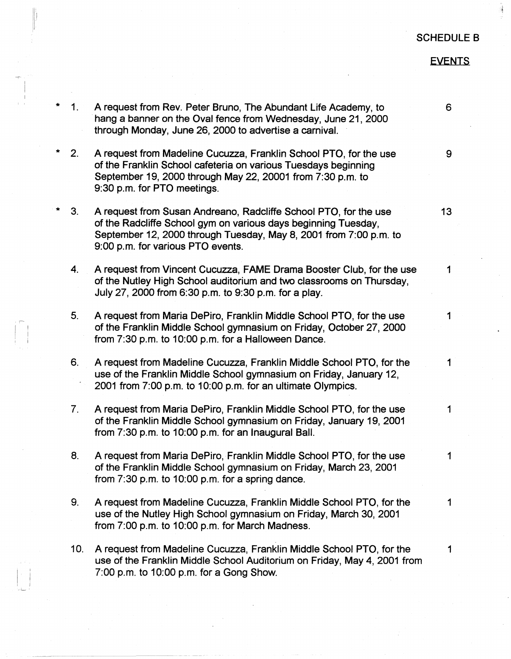## SCHEDULE B

~

## **EVENTS**

1. A request from Rev. Peter Bruno, The Abundant Life Academy, to 6 hang a banner on the Oval fence from Wednesday, June 21, 2000 through Monday, June 26, 2000 to advertise a carnival.

 $\vert t\vert$  :

I

,·

. L

2. A request from Madeline Cucuzza, Franklin School PTO, for the use 9 of the Franklin School cafeteria on various Tuesdays beginning September 19, 2000 through May 22, 20001 from 7:30 p.m. to 9:30 p.m. for PTO meetings.

- \* 3. A request from Susan Andreana, Radcliffe School PTO, for the use **13**  of the Radcliffe School gym on various days beginning Tuesday, September 12, 2000 through Tuesday, May 8, 2001 from 7:00 p.m. to 9:00 p.m. for various PTO events.
	- 4. A request from Vincent Cucuzza, FAME Drama Booster Club, for the use 1 of the Nutley High School auditorium and two classrooms on Thursday, July 27, 2000 from 6:30 p.m. to 9:30 p.m. for a play.
	- 5. A request from Maria DePiro, Franklin Middle School PTO, for the use 1 of the Franklin Middle School gymnasium on Friday, October 27, 2000 from 7:30 p.m. to 10:00 p.m. for a Halloween Dance.
	- 6. A request from Madeline Cucuzza, Franklin Middle School PTO, for the 1 use of the Franklin Middle School gymnasium on Friday, January 12, 2001 from 7:00 p.m. to 10:00 p.m. for an ultimate Olympics.
	- 7. A request from Maria DePiro, Franklin Middle School PTO, for the use 1 of the Franklin Middle School gymnasium on Friday, January 19, 2001 from 7:30 p.m. to 10:00 p.m. for an Inaugural Ball.
	- 8. A request from Maria DePiro, Franklin Middle School PTO, for the use 1 of the Franklin Middle School gymnasium on Friday, March 23, 2001 from 7:30 p.m. to 10:00 p.m. for a spring dance.
	- 9. A request from Madeline Cucuzza, Franklin Middle School PTO, for the 1 use of the Nutley High School gymnasium on Friday, March 30, 2001 from 7:00 p.m. to 10:00 p.m. for March Madness.
	- 10. A request from Madeline Cucuzza, Franklin Middle School PTO, for the 1 use of the Franklin Middle School Auditorium on Friday, **May 4,** 2001 from 7:00 p.m. to 10:00 p.m. for a Gong Show.